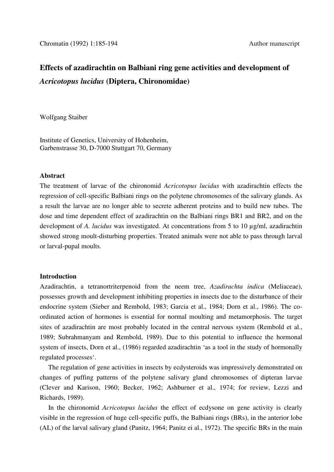# **Effects of azadirachtin on Balbiani ring gene activities and development of**  *Acricotopus lucidus* **(Diptera, Chironomidae)**

Wolfgang Staiber

Institute of Genetics, University of Hohenheim, Garbenstrasse 30, D-7000 Stuttgart 70, Germany

## **Abstract**

The treatment of larvae of the chironomid *Acricotopus lucidus* with azadirachtin effects the regression of cell-specific Balbiani rings on the polytene chromosomes of the salivary glands. As a result the larvae are no longer able to secrete adherent proteins and to build new tubes. The dose and time dependent effect of azadirachtin on the Balbiani rings BR1 and BR2, and on the development of *A. lucidus* was investigated. At concentrations from 5 to 10 µg/ml, azadirachtin showed strong moult-disturbing properties. Treated animals were not able to pass through larval or larval-pupal moults.

## **Introduction**

Azadirachtin, a tetranortriterpenoid from the neem tree, *Azadirachta indica* (Meliaceae), possesses growth and development inhibiting properties in insects due to the disturbance of their endocrine system (Sieber and Rembold, 1983; Garcia et al., 1984; Dorn et al., 1986). The coordinated action of hormones is essential for normal moulting and metamorphosis. The target sites of azadirachtin are most probably located in the central nervous system (Rembold et al., 1989; Subrahmanyam and Rembold, 1989). Due to this potential to influence the hormonal system of insects, Dorn et al., (1986) regarded azadirachtin 'as a tool in the study of hormonally regulated processes'.

 The regulation of gene activities in insects by ecdysteroids was impressively demonstrated on changes of puffing patterns of the polytene salivary gland chromosomes of dipteran larvae (Clever and Karison, 1960; Becker, 1962; Ashburner et al., 1974; for review, Lezzi and Richards, 1989).

 In the chironomid *Acricotopus lucidus* the effect of ecdysone on gene activity is clearly visible in the regression of huge cell-specific puffs, the Balbiani rings (BRs), in the anterior lobe (AL) of the larval salivary gland (Panitz, 1964; Panitz ei al., 1972). The specific BRs in the main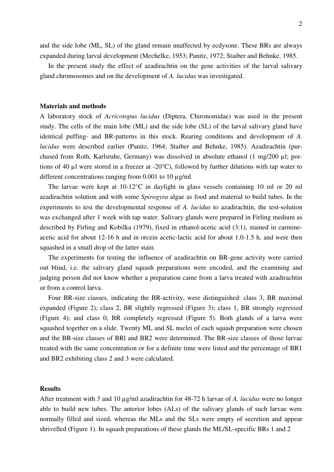and the side lobe (ML, SL) of the gland remain unaffected by ecdysone. These BRs are always expanded during larval development (Mechelke, 1953; Panitz, 1972; Staiber and Behnke, 1985.

 In the present study the effect of azadirachtin on the gene activities of the larval salivary gland chromosomes and on the development of *A. lucidus* was investigated.

#### **Materials and methods**

A laboratory stock of *Acricotopus lucidus* (Diptera, Chironomidae) was used in the present study. The cells of the main lobe (ML) and the side lobe (SL) of the larval salivary gland have identical puffing- and BR-patterns in this stock. Rearing conditions and development of *A. lucidus* were described earlier (Panitz, 1964; Staiber and Behnke, 1985). Azadirachtin (purchased from Roth, Karlsruhe, Germany) was dissolved in absolute ethanol (1 mg/200 µl; portions of 40 µl were stored in a freezer at -20°C), followed by further dilutions with tap water to different concentrations ranging from 0.001 to 10  $\mu$ g/ml.

 The larvae were kept at 10-12°C in daylight in glass vessels containing 10 ml or 20 ml azadirachtin solution and with some *Spirogyra* algae as food and material to build tubes. In the experiments to test the developmental response of *A. lucidus* to azadirachtin, the test-solution was exchanged after 1 week with tap water. Salivary glands were prepared in Firling medium as described by Firling and Kobilka (1979), fixed in ethanol-acetic acid (3:1), stained in carmineacetic acid for about 12-16 h and in orcein acetic-lactic acid for about 1.0-1.5 h, and were then squashed in a small drop of the latter stain.

 The experiments for testing the influence of azadirachtin on BR-gene activity were carried out blind, i.e. the salivary gland squash preparations were encoded, and the examining and judging person did not know whether a preparation came from a larva treated with azadirachtin or from a control larva.

 Four BR-size ciasses, indicating the BR-activity, were distinguished: class 3, BR maximal expanded (Figure 2); class 2, BR slightly regressed (Figure 3); class 1, BR strongly regressed (Figure 4); and class 0, BR completely regressed (Figure 5). Both glands of a larva were squashed together on a slide. Twenty ML and SL nuclei of each squash preparation were chosen and the BR-size classes of BRl and BR2 were determined. The BR-size classes of those larvae treated with the same concentration or for a definite time were listed and the percentage of BR1 and BR2 exhibiting class 2 and 3 were calculated.

## **Results**

After treatment with *5* and 10 µg/ml azadirachtin for 48-72 h larvae of *A. lucidus* were no longer able to build new tubes. The anterior lobes (ALs) of the salivary glands of such larvae were normally filled and sized, whereas the MLs and the SLs were empty of secretion and appear shrivelled (Figure 1). In squash preparations of these glands the ML/SL-specific BRs 1 and 2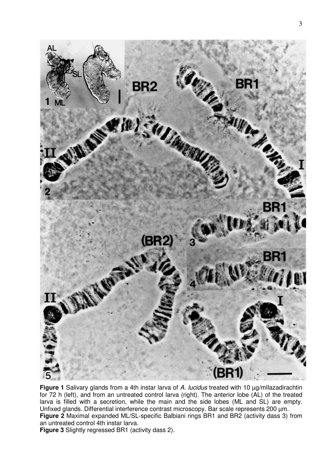

**Figure 1** Salivary glands from a 4th instar larva of A. lucidus treated with 10 µg/mIlazadirachtin for 72 h (left), and from an untreated control larva (right). The anterior lobe (AL) of the treated larva is filled with a secretion, while the main and the side lobes (ML and SL) are empty. Unfixed glands. Differential interference contrast microscopy. Bar scale represents 200 µm. **Figure 2** Maximal expanded ML/SL-specific Balbiani rings BR1 and BR2 (activity dass 3) from an untreated control 4th instar larva.

**Figure 3** Slightly regressed BR1 (activity dass 2).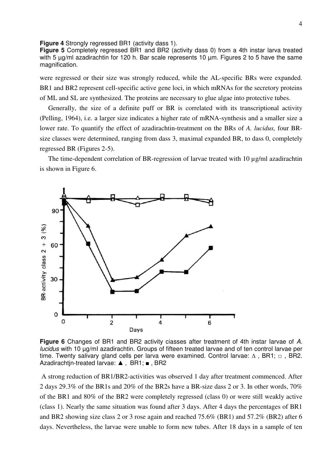**Figure 4** Strongly regressed BR1 (activity dass 1).

**Figure 5** Completely regressed BR1 and BR2 (activity dass 0) from a 4th instar larva treated with 5  $\mu$ g/ml azadirachtin for 120 h. Bar scale represents 10  $\mu$ m. Figures 2 to 5 have the same magnification.

were regressed or their size was strongly reduced, while the AL-specific BRs were expanded. BR1 and BR2 represent cell-specific active gene loci, in which mRNAs for the secretory proteins of ML and SL are synthesized. The proteins are necessary to glue algae into protective tubes.

 Generally, the size of a definite puff or BR is correlated with its transcriptional activity (Pelling, 1964), i.e. a larger size indicates a higher rate of mRNA-synthesis and a smaller size a lower rate. To quantify the effect of azadirachtin-treatment on the BRs of *A. lucidus,* four BRsize classes were determined, ranging from dass 3, maximal expanded BR, to dass 0, completely regressed BR (Figures 2-5).

The time-dependent correlation of BR-regression of larvae treated with 10  $\mu$ g/ml azadirachtin is shown in Figure 6.



**Figure 6** Changes of BR1 and BR2 activity ciasses after treatment of 4th instar Iarvae of A. lucidus with 10 µg/mI azadirachtin. Groups of fifteen treated larvae and of ten control larvae per time. Twenty salivary gland cells per larva were examined. Control larvae:  $\Delta$ , BR1;  $\Box$ , BR2. Azadirachtin-treated Iarvae: **A**, BR1; ■, BR2

 A strong reduction of BR1/BR2-activities was observed 1 day after treatment commenced. After 2 days 29.3% of the BR1s and 20% of the BR2s have a BR-size dass 2 or 3. In other words, 70% of the BR1 and 80% of the BR2 were completely regressed (class 0) or were still weakly active (class 1). Nearly the same situation was found after 3 days. After 4 days the percentages of BR1 and BR2 showing size class 2 or 3 rose again and reached 75.6% (BR1) and 57.2% (BR2) after 6 days. Nevertheless, the larvae were unable to form new tubes. After 18 days in a sample of ten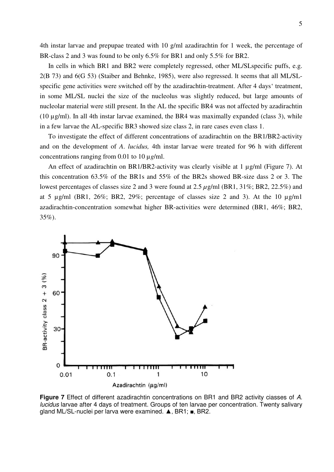4th instar larvae and prepupae treated with 10 g/ml azadirachtin for 1 week, the percentage of BR-class 2 and 3 was found to be only 6.5% for BR1 and only 5.5% for BR2.

 In cells in which BR1 and BR2 were completely regressed, other ML/SLspecific puffs, e.g. 2(B 73) and 6(G 53) (Staiber and Behnke, 1985), were also regressed. lt seems that all ML/SLspecific gene activities were switched off by the azadirachtin-treatment. After 4 days' treatment, in some ML/SL nuclei the size of the nucleolus was slightly reduced, but large amounts of nucleolar material were still present. In the AL the specific BR4 was not affected by azadirachtin (10 µg/ml). In all 4th instar larvae examined, the BR4 was maximally expanded (class 3), while in a few larvae the AL-specific BR3 showed size class 2, in rare cases even class 1.

 To investigate the effect of different concentrations of azadirachtin on the BR1/BR2-activity and on the development of *A*. *lucidus,* 4th instar larvae were treated for 96 h with different concentrations ranging from 0.01 to 10 µ*g*/ml.

An effect of azadirachtin on BR1/BR2-activity was clearly visible at 1 µg/ml (Figure 7). At this concentration 63.5% of the BR1s and 55% of the BR2s showed BR-size dass 2 or 3. The lowest percentages of classes size 2 and 3 were found at 2.5 *µ*g/ml (BR1, 31%; BR2, 22.5%) and at 5  $\mu$ g/ml (BR1, 26%; BR2, 29%; percentage of classes size 2 and 3). At the 10  $\mu$ g/ml azadirachtin-concentration somewhat higher BR-activities were determined (BR1, 46%; BR2, 35%).



**Figure 7** Effect of different azadirachtin concentrations on BR1 and BR2 activity ciasses of A. lucidus larvae after 4 days of treatment. Groups of ten larvae per concentration. Twenty salivary gland ML/SL-nuclei per larva were examined. **A**, BR1; ■, BR2.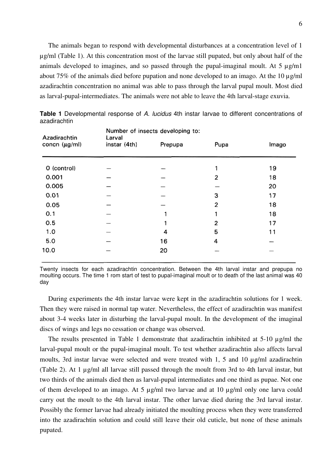The animals began to respond with developmental disturbances at a concentration level of 1 µg/ml (Table 1). At this concentration most of the larvae still pupated, but only about half of the animals developed to imagines, and so passed through the pupal-imaginal moult. At  $5 \mu g/ml$ about 75% of the animals died before pupation and none developed to an imago. At the 10 µg/ml azadirachtin concentration no animal was able to pass through the larval pupal moult. Most died as larval-pupal-intermediates. The animals were not able to leave the 4th larval-stage exuvia.

| Azadirachtin       | Number of insects developing to:<br>Larval |         |      |       |  |  |  |
|--------------------|--------------------------------------------|---------|------|-------|--|--|--|
| concn $(\mu g/ml)$ | instar (4th)                               | Prepupa | Pupa | Imago |  |  |  |
| 0 (control)        |                                            |         |      | 19    |  |  |  |
| 0.001              |                                            |         | 2    | 18    |  |  |  |
| 0.005              |                                            |         |      | 20    |  |  |  |
| 0.01               |                                            |         | 3    | 17    |  |  |  |
| 0.05               |                                            |         | 2    | 18    |  |  |  |
| 0.1                |                                            |         |      | 18    |  |  |  |
| 0.5                |                                            |         | 2    | 17    |  |  |  |
| 1.0                |                                            | 4       | 5    | 11    |  |  |  |
| 5.0                |                                            | 16      | 4    |       |  |  |  |
| 10.0               |                                            | 20      |      |       |  |  |  |

|              | Table 1 Developmental response of A. lucidus 4th instar larvae to different concentrations of |  |  |  |  |  |  |
|--------------|-----------------------------------------------------------------------------------------------|--|--|--|--|--|--|
| azadirachtin |                                                                                               |  |  |  |  |  |  |

Twenty insects for each azadirachtin concentration. Between the 4th larval instar and prepupa no moulting occurs. The time 1 rom start of test to pupal-imaginal moult or to death of the last animal was 40 day

 During experiments the 4th instar larvae were kept in the azadirachtin solutions for 1 week. Then they were raised in normal tap water. Nevertheless, the effect of azadirachtin was manifest about 3-4 weeks later in disturbing the larval-pupal moult. In the development of the imaginal discs of wings and legs no cessation or change was observed.

 The results presented in Table 1 demonstrate that azadirachtin inhibited at 5-10 µg/ml the larval-pupal moult or the pupal-imaginal moult. To test whether azadirachtin also affects larval moults, 3rd instar larvae were selected and were treated with 1, 5 and 10 µg/ml azadirachtin (Table 2). At 1 µg/ml all larvae still passed through the moult from 3rd to 4th larval instar, but two thirds of the animals died then as larval-pupal intermediates and one third as pupae. Not one of them developed to an imago. At 5 µg/ml two larvae and at 10 µg/ml only one larva could carry out the moult to the 4th larval instar. The other larvae died during the 3rd larval instar. Possibly the former larvae had already initiated the moulting process when they were transferred into the azadirachtin solution and could still leave their old cuticle, but none of these animals pupated.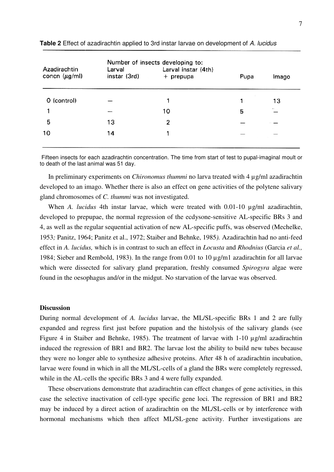| Azadirachtin<br>concn $(\mu g/ml)$ | Larval<br>instar (3rd) | Number of insects developing to:<br>Larval instar (4th)<br>+ prepupa | Pupa | Imago |
|------------------------------------|------------------------|----------------------------------------------------------------------|------|-------|
| 0 (control)                        |                        | ◀                                                                    |      | 13    |
|                                    |                        | 10                                                                   | 5    |       |
| 5                                  | 13                     | $\overline{2}$                                                       |      |       |
| 10                                 | 14                     | 1                                                                    |      |       |
|                                    |                        |                                                                      |      |       |

**Table 2** Effect of azadirachtin applied to 3rd instar Iarvae on development of A. lucidus

Fifteen insects for each azadirachtin concentration. The time from start of test to pupal-imaginal moult or to death of the last animal was 51 day.

 In preliminary experiments on *Chironomus thummi* no larva treated with 4 µg/ml azadirachtin developed to an imago. Whether there is also an effect on gene activities of the polytene salivary gland chromosomes of *C. thummi* was not investigated.

When *A. lucidus* 4th instar larvae, which were treated with 0.01-10  $\mu$ g/ml azadirachtin, developed to prepupae, the normal regression of the ecdysone-sensitive AL-specific BRs 3 and 4, as well as the regular sequential activation of new AL-specific puffs, was observed (Mechelke, 1953*;* Panitz, 1964; Panitz et al., 1972; Staiber and Behnke, 1985*).* Azadirachtin had no anti-feed effect in *A. lucidus,* which is in contrast to such an effect in *Locusta* and *Rhodnius* (Garcia *et al.,*  1984; Sieber and Rembold, 1983). In the range from 0.01 to 10 µg/m1 azadirachtin for all larvae which were dissected for salivary gland preparation, freshly consumed *Spirogyra* algae were found in the oesophagus and/or in the midgut. No starvation of the larvae was observed.

#### **Discussion**

During normal development of *A. lucidus* larvae, the ML/SL-specific BRs 1 and 2 are fully expanded and regress first just before pupation and the histolysis of the salivary glands (see Figure 4 in Staiber and Behnke, 1985). The treatment of larvae with 1-10 µg/ml azadirachtin induced the regression of BR1 and BR2. The larvae lost the ability to build new tubes because they were no longer able to synthesize adhesive proteins. After 48 h of azadirachtin incubation, larvae were found in which in all the ML/SL-cells of a gland the BRs were completely regressed, while in the AL-cells the specific BRs 3 and 4 were fully expanded.

 These observations demonstrate that azadirachtin can effect changes of gene activities, in this case the selective inactivation of cell-type specific gene loci. The regression of BR1 and BR2 may be induced by a direct action of azadirachtin on the ML/SL-cells or by interference with hormonal mechanisms which then affect ML/SL-gene activity. Further investigations are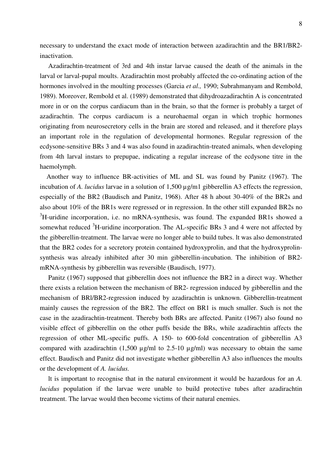necessary to understand the exact mode of interaction between azadirachtin and the BR1/BR2 inactivation.

 Azadirachtin-treatment of 3rd and 4th instar larvae caused the death of the animals in the larval or larval-pupal moults. Azadirachtin most probably affected the co-ordinating action of the hormones involved in the moulting processes (Garcia *et al.,* 1990; Subrahmanyam and Rembold, 1989). Moreover, Rembold et al. (1989) demonstrated that dihydroazadirachtin A is concentrated more in or on the corpus cardiacum than in the brain, so that the former is probably a target of azadirachtin. The corpus cardiacum is a neurohaemal organ in which trophic hormones originating from neurosecretory cells in the brain are stored and released, and it therefore plays an important role in the regulation of developmental hormones. Regular regression of the ecdysone-sensitive BRs 3 and 4 was also found in azadirachtin-treated animals, when developing from 4th larval instars to prepupae, indicating a regular increase of the ecdysone titre in the haemolymph.

 Another way to influence BR-activities of ML and SL was found by Panitz (1967). The incubation of *A. lucidus* larvae in a solution of 1,500 µg/m1 gibberellin A3 effects the regression, especially of the BR2 (Baudisch and Panitz, 1968). After 48 h about 30-40% of the BR2s and also about 10% of the BR1s were regressed or in regression. In the other still expanded BR2s no <sup>3</sup>H-uridine incorporation, i.e. no mRNA-synthesis, was found. The expanded BR1s showed a somewhat reduced  ${}^{3}$ H-uridine incorporation. The AL-specific BRs 3 and 4 were not affected by the gibberellin-treatment. The larvae were no longer able to build tubes. lt was also demonstrated that the BR2 codes for a secretory protein contained hydroxyprolin, and that the hydroxyprolinsynthesis was already inhibited after 30 min gibberellin-incubation. The inhibition of BR2 mRNA-synthesis by gibberellin was reversible (Baudisch, 1977).

 Panitz (1967) supposed that gibberellin does not influence the BR2 in a direct way. Whether there exists a relation between the mechanism of BR2- regression induced by gibberellin and the mechanism of BRl/BR2-regression induced by azadirachtin is unknown. Gibberellin-treatment mainly causes the regression of the BR2. The effect on BR1 is much smaller. Such is not the case in the azadirachtin-treatment. Thereby both BRs are affected. Panitz (1967) also found no visible effect of gibberellin on the other puffs beside the BRs, while azadirachtin affects the regression of other ML-specific puffs. A 150- to 600-fold concentration of gibberellin A3 compared with azadirachtin  $(1,500 \text{ µg/ml}$  to  $2.5{\text -}10 \text{ µg/ml}}$  was necessary to obtain the same effect. Baudisch and Panitz did not investigate whether gibberellin A3 also influences the moults or the development of *A. lucidus.* 

 lt is important to recognise that in the natural environment it would be hazardous for an *A. lucidus* population if the larvae were unable to build protective tubes after azadirachtin treatment. The larvae would then become victims of their natural enemies.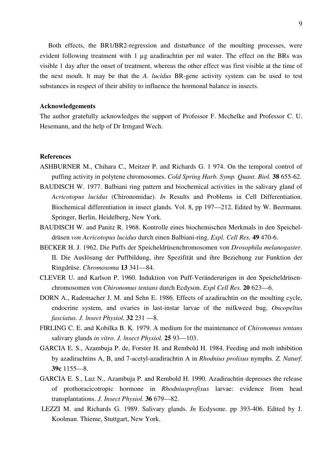Both effects, the BR1/BR2-regression and disturbance of the moulting processes, were evident following treatment with 1 µg azadirachtin per ml water. The effect on the BRs was visible 1 day after the onset of treatment, whereas the other effect was first visible at the time of the next moult. lt may be that the *A. lucidus* BR-gene activity system can be used to test substances in respect of their ability to influence the hormonal balance in insects.

#### **Acknowledgements**

The author gratefully acknowledges the support of Professor F. Mechelke and Professor C. U. Hesemann, and the help of Dr Irmgard Wech.

## **References**

- ASHBURNER M., Chihara C., Meitzer P. and Richards G. 1 974. On the temporal control of puffing activity in polytene chromosomes. *Cold Spring Harb. Symp. Quant. Biol.* **38** 655-62.
- BAUDISCH W. 1977. Balbiani ring pattern and biochemical activities in the salivary gland of *Acricotopus lucidus* (Chironomidae). *In* Results and Problems in Cell Differentiation. Biochemical differentiation in insect glands. Vol. 8, pp 197—212. Edited by W. Beermann. Springer, Berlin, Heidelberg, New York.
- BAUDISCH W. and Panitz R. 1968. Kontrolle eines biochemischen Merkmals in den Speicheldrüsen *von Acricotopus lucidus* durch einen Balbiani-ring. *Expl. Cell Res.* **49** 470-6.
- BECKER H. J. 1962. Die Puffs der Speicheldrüsenchromosomen von *Drosophila melanogaster.*  II*.* Die Auslösung der Puffbildung, ihre Spezifität und ihre Beziehung zur Funktion der Ringdrüse. *Chromosoma* **13** 341—84.
- CLEVER U. and Karlson P. 1960. Induktion von Puff-Veränderurigen in den Speicheldrüsenchromosomen von *Chironomus tentans* durch Ecdyson. *Expl Cell Res.* **20** 623—6.
- DORN A., Rademacher J. M. and Sehn E. 1986. Effects of azadirachtin on the moulting cycle, endocrine system, and ovaries in last-instar larvae of the milkweed bug, *Oncopeltus fasciatus. J. lnsect Physiol.* **32** 231 —8.
- FIRLING C. E. and Kobilka B. K. 1979. A medium for the maintenance of *Chironomus tentans*  salivary glands *in vitro. J. lnsect Physiol.* **25** 93—103.
- GARCIA E. S., Azambuja P. de, Forster H. and Rembold H. 1984. Feeding and molt inhibition by azadirachtins A, B, and 7-acetyl-azadirachtin A in *Rhodnius prolixus* nymphs. *Z. Naturf.*  **39c** 1155—8.
- GARCIA E. S., Luz N., Azambuja P. and Rembold H. 1990. Azadirachtin depresses the release of prothoracicotropic hormone in *Rhodniusprofixus* larvae: evidence from head transplantations. *J. Insect Physiol.* **36** 679—82.
- LEZZI M. and Richards G. 1989. Salivary glands. *In* Ecdysone. pp 393-406. Edited by J. Koolman. Thieme, Stuttgart, New York.